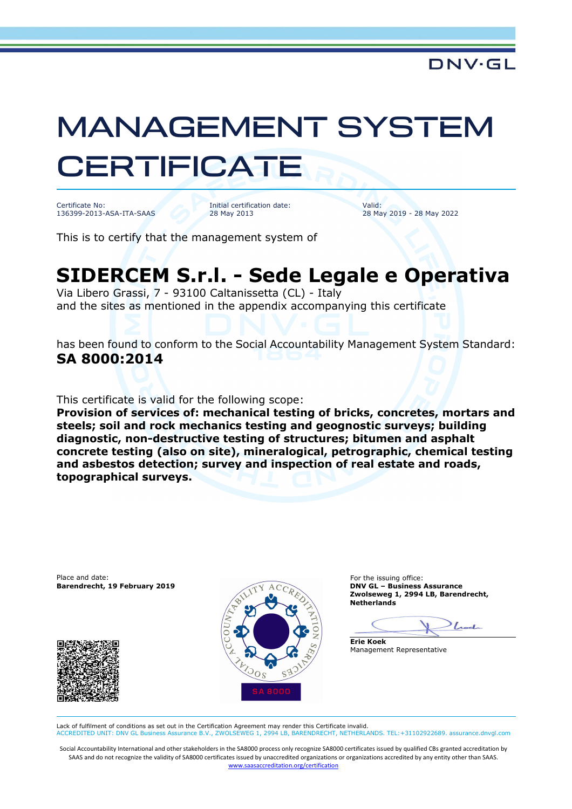## MANAGEMENT SYSTEM **CERTIFICATE**

Certificate No: 136399-2013-ASA-ITA-SAAS

Initial certification date: 28 May 2013

Valid: 28 May 2019 - 28 May 2022

This is to certify that the management system of

## **SIDERCEM S.r.l. - Sede Legale e Operativa**

Via Libero Grassi, 7 - 93100 Caltanissetta (CL) - Italy and the sites as mentioned in the appendix accompanying this certificate

has been found to conform to the Social Accountability Management System Standard: **SA 8000:2014**

This certificate is valid for the following scope:

**Provision of services of: mechanical testing of bricks, concretes, mortars and steels; soil and rock mechanics testing and geognostic surveys; building diagnostic, non-destructive testing of structures; bitumen and asphalt concrete testing (also on site), mineralogical, petrographic, chemical testing and asbestos detection; survey and inspection of real estate and roads, topographical surveys.** 

Place and date: For the issuing office:<br> **Barendrecht. 19 February 2019** CON CON D**NV GL - Business Assurance Barendrecht, 19 February 2019** 





**Zwolseweg 1, 2994 LB, Barendrecht, Netherlands** 

 $_{lead}$ 

**Erie Koek** Management Representative

Lack of fulfilment of conditions as set out in the Certification Agreement may render this Certificate invalid.<br>ACCREDITED UNIT: DNV GL Business Assurance B.V., ZWOLSEWEG 1, 2994 LB, BARENDRECHT, NETHERLA ACCREDITED UNIT: DNV GL Business Assurance B.V., ZWOLSEWEG 1, 2994 LB, BARENDRECHT, NETHERLANDS. TEL:+31102922689. assurance.dnvgl.com

Social Accountability International and other stakeholders in the SA8000 process only recognize SA8000 certificates issued by qualified CBs granted accreditation by SAAS and do not recognize the validity of SA8000 certificates issued by unaccredited organizations or organizations accredited by any entity other than SAAS. www.saasaccreditation.org/certification